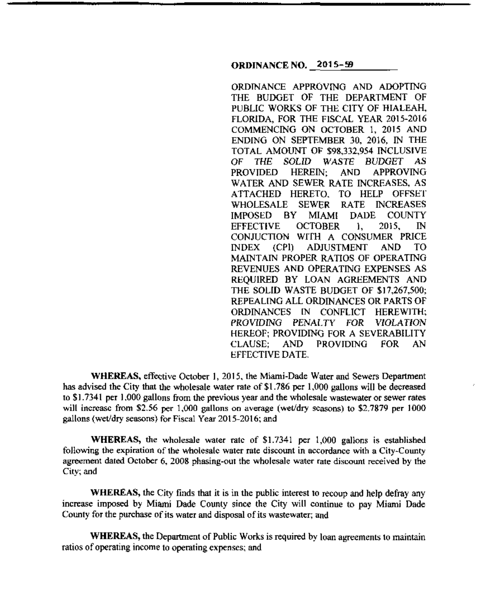### **ORDINANCE NO. 2015-59**

ORDINANCE APPROVING AND ADOPTING THE BUDGET OF THE DEPARTMENT OF PUBLIC WORKS OF THE CITY OF HIALEAH. FLORIDA, FOR THE FISCAL YEAR 2015-2016 COMMENCING ON OCTOBER 1, 2015 AND ENDING ON SEPTEMBER 30, 2016, IN THE TOTAL AMOUNT OF \$98,332,954 INCLUSIVE OF THE SOLID WASTE BUDGET AS<br>PROVIDED HEREIN: AND APPROVING PROVIDED HEREIN; AND APPROVING WATER AND SEWER RATE INCREASES, AS ATTACHED HERETO. TO HELP OFFSET WHOLESALE SEWER RATE INCREASES IMPOSED BY MIAMI DADE COUNTY EFFECTIVE OCTOBER l, 2015, IN CONJUCTION WITH A CONSUMER PRICE INDEX (CPI) ADJUSTMENT AND TO MAINTAIN PROPER RATIOS OF OPERATING REVENUES AND OPERATING EXPENSES AS REQUIRED BY LOAN AGREEMENTS AND THE SOLID WASTE BUDGET OF \$17,267,500; REPEALING ALL ORDINANCES OR PARTS OF ORDINANCES IN CONFLICT HEREWITH; PROVIDING PENALTY FOR VIOLATION HEREOF; PROVIDING FOR A SEVERABILITY CLAUSE; AND PROVIDING FOR AN EFFECTIVE DATE.

**WHEREAS,** effective October 1, 2015, the Miami-Dade Water and Sewers Department has advised the City that the wholesale water rate of \$1.786 per 1,000 gallons will be decreased to \$1.7341 per 1.000 gallons from the previous year and the wholesale wastewater or sewer rates will increase from \$2.56 per 1,000 gallons on average (wet/dry seasons) to \$2.7879 per 1000 gallons (wet/dry seasons) for Fiscal Year 2015-2016; and

**WHEREAS,** the wholesale water rate of \$1.7341 per 1,000 gallons is established following the expiration of the wholesale water rate discount in accordance with a City-County agreement dated October 6, 2008 phasing-out the wholesale water rate discount received by the City; and

**WHEREAS,** the City finds that it is in the public interest to recoup and help defray any increase imposed by Miami Dade County since the City will continue to pay Miami Dade County for the purchase of its water and disposal of its wastewater; and

**WHEREAS, the Department of Public Works is required by loan agreements to maintain** ratios of operating income to operating expenses; and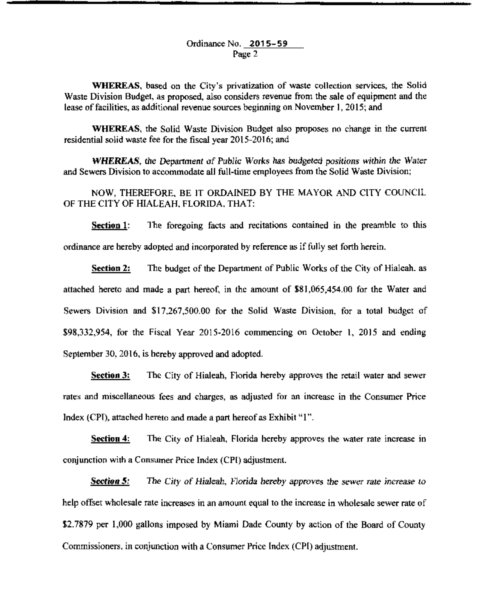#### Ordinance No. 2015-59 Page 2

WHEREAS, based on the City's privatization of waste collection services, the Solid Waste Division Budget, as proposed, also considers revenue from the sale of equipment and the lease of facilities, as additional revenue sources beginning on November I, 2015; and

WHEREAS, the Solid Waste Division Budget also proposes no change in the current residential solid waste fee for the fiscal year 2015-2016; and

WHEREAS, the Department of Public Works has budgeted positions within the Water and Sewers Division to accommodate all full-time employees from the Solid Waste Division;

NOW, THEREFORE, BE IT ORDAINED BY THE MAYOR AND CITY COUNCIL OF THE CITY OF HIALEAH. FLORIDA. THAT:

Section 1: The foregoing facts and recitations contained in the preamble to this ordinance are hereby adopted and incorporated by reference as if fully set forth herein.

Section 2: The budget of the Department of Public Works of the City of Hialeah. as attached hereto and made a part hereof, in the amount of \$81,065,454.00 for the Water and Sewers Division and \$17.267,500.00 for the Solid Waste Division. for a total budget of \$98,332,954, for the Fiscal Year 2015-2016 commencing on October I, 2015 and ending September 30,2016, is hereby approved and adopted.

Seetion 3: The City of Hialeah, Florida hereby approves the retail water and sewer rates and miscellaneous fees and charges, as adjusted for an increase in the Consumer Price Index (CPT), attached hereto and made a part hereof as Exhibit "I".

**Section 4:** The City of Hialeah, Florida hereby approves the water rate increase in conjunction with a Consumer Price Index (CPI) adjustment.

**Section 5:** The *City of Hialeah*, *Plorida hereby approves the sewer rate increase to* help offset wholesale rate increases in an amount equal to the increase in wholesale sewer rate of \$2.7879 per 1,000 gallons imposed by Miami Dade County by action of the Board of County Commissioners. in conjunction with a Consumer Price Index (CPJ) adjustment.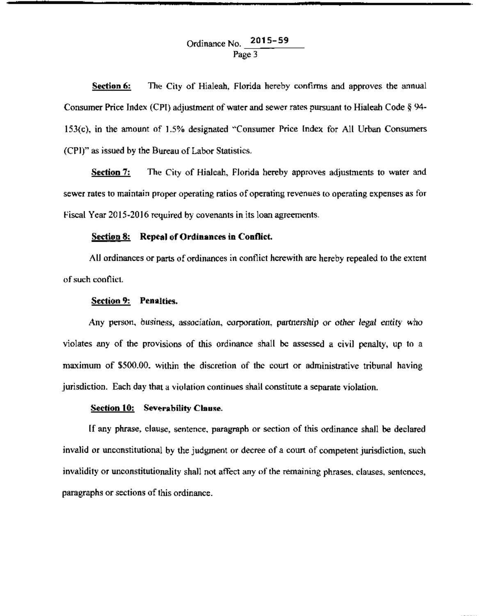## Ordinance No. **2015-59**  Page 3

**Section 6:**  The City of Hialeah, Florida hereby confirms and approves the annual Consumer Price Index (CPI) adjustment of water and sewer rates pursuant to Hialeah Code  $\S$  94-153(c), in the amount nf 1.5% designated "Consumer Price Index for All Urban Consumers (CPI)'' as issued by the Bureau of Labor Statistics.

**Section 7:** The City of Hialeah, Florida hereby approves adjustments to water and sewer rates to maintain proper operating ratios of operating revenues to operating expenses as for Fiscal Year 2015-2016 required by covenants in its loan agreements.

#### **Section 8: Repeal of Ordinances in Conflict.**

All ordinances or parts of ordinances in conflict herewith are hereby repealed to the extent of such conflict.

#### **Section 9: Penalties.**

Any person, businegs, association, corporation. partnership or other legal entity who violates any of the provisions of this ordinance shall be assessed a civil penalty, up to a maximum of \$500.00, within the discretion of the court or administrative tribunal having jurisdiction. Each day that a violation continues shall constitute a separate violation.

#### **Section 10: Severability Clause.**

If any phrase, clause, sentence, paragraph or section of this ordinance shall be declared invalid or unconstitutional by the judgment or decree of a court of competent jurisdiction, such invalidity or unconstitutionality shall not affect any of the remaining phrases, clauses. sentences, paragraphs or sections of this ordinance.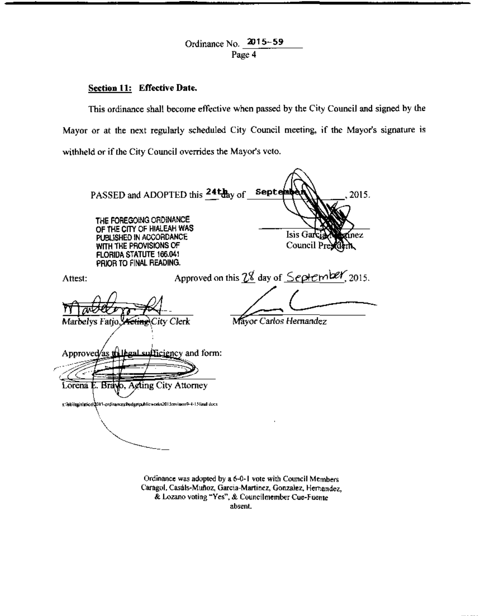Ordinance No. 2015-59 Page 4

# Section 11: Effective Date.

This ordinance shall become effective when passed by the City Council and signed by the Mayor or at the next regularly scheduled City Council meeting. if the Mayor's signature is withheld or if the City Council overrides the Mayor's veto.

| WITH THE PROVISIONS OF<br>FLORIDA STATUTE 166.041<br>PRIOR TO FINAL READING.          | PASSED and ADOPTED this 24thay of<br>THE FOREGOING ORDINANCE<br>OF THE CITY OF HIALEAH WAS<br>PUBLISHED IN ACCORDANCE           | <b>Septembe</b><br>2015.<br>Isis Garcia<br><b>Bottnez</b><br>Council President |
|---------------------------------------------------------------------------------------|---------------------------------------------------------------------------------------------------------------------------------|--------------------------------------------------------------------------------|
| Attest:                                                                               |                                                                                                                                 | Approved on this $2\frac{g}{g}$ day of $Sepler$ (2015.                         |
| Marbelys Fatjo, <del>Yeting</del> City Clerk<br>Lorena E. Brayo, Acting City Attorney | Approved/as the legal sufficiency and form:<br>s:\leb\legislation\2015-ordinances\hudgetp.hlicworks2015revision9-4-15linal-docx | Mayor Carlos Hernandez                                                         |

Ordinance was adopted by a 6-0-1 vote with Council Members Caragol. Casáls-Muñoz, Garcia-Martinez, Gonzalez, Hernandez, & Lozano voting ~ves'\ & CouncilmemberCue·Fuente absent.